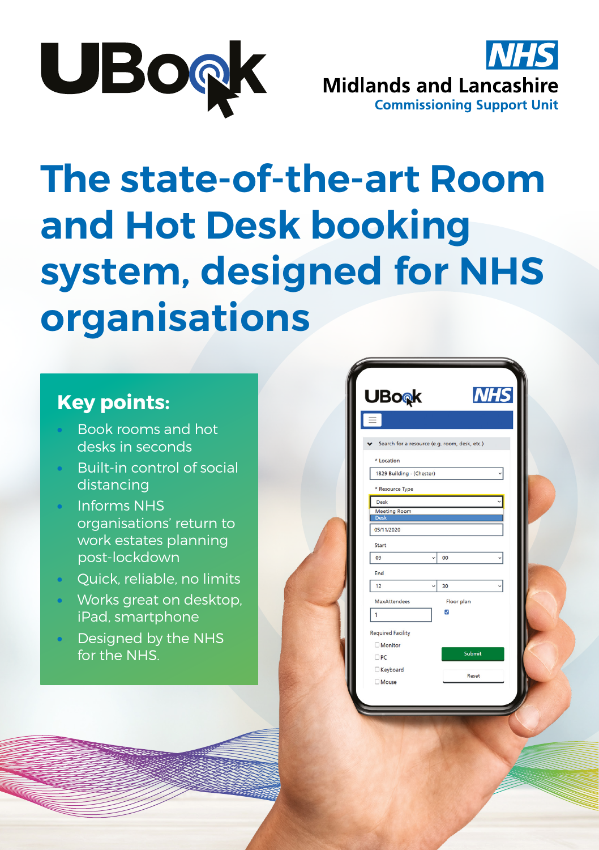



# **The state-of-the-art Room and Hot Desk booking system, designed for NHS organisations**

#### **Key points:**

- Book rooms and hot desks in seconds
- Built-in control of social distancing
- Informs NHS organisations' return to work estates planning post-lockdown
- Quick, reliable, no limits
- Works great on desktop, iPad, smartphone
- Designed by the NHS for the NHS.

| <b>UBo</b> <sub>®</sub> k          |                      |                                               | <b>NHS</b> |
|------------------------------------|----------------------|-----------------------------------------------|------------|
|                                    |                      |                                               |            |
|                                    |                      | Search for a resource (e.g. room, desk, etc.) |            |
| * Location                         |                      |                                               |            |
| 1829 Building - (Chester)          |                      |                                               |            |
| * Resource Type                    |                      |                                               |            |
| Desk                               |                      |                                               |            |
| <b>Meeting Room</b><br><b>Desk</b> |                      |                                               |            |
| 05/11/2020                         |                      |                                               |            |
| Start                              |                      |                                               |            |
| 09                                 | $\ddot{\phantom{0}}$ | 00                                            |            |
| End                                |                      |                                               |            |
| 12                                 |                      | 30                                            |            |
| <b>MaxAttendees</b>                |                      | Floor plan                                    |            |
| 1                                  |                      | ø                                             |            |
| <b>Required Facility</b>           |                      |                                               |            |
| <b>Monitor</b>                     |                      |                                               |            |
| $\Box$ PC                          |                      | Submit                                        |            |
| Keyboard                           |                      | Reset                                         |            |
| <b>Mouse</b>                       |                      |                                               |            |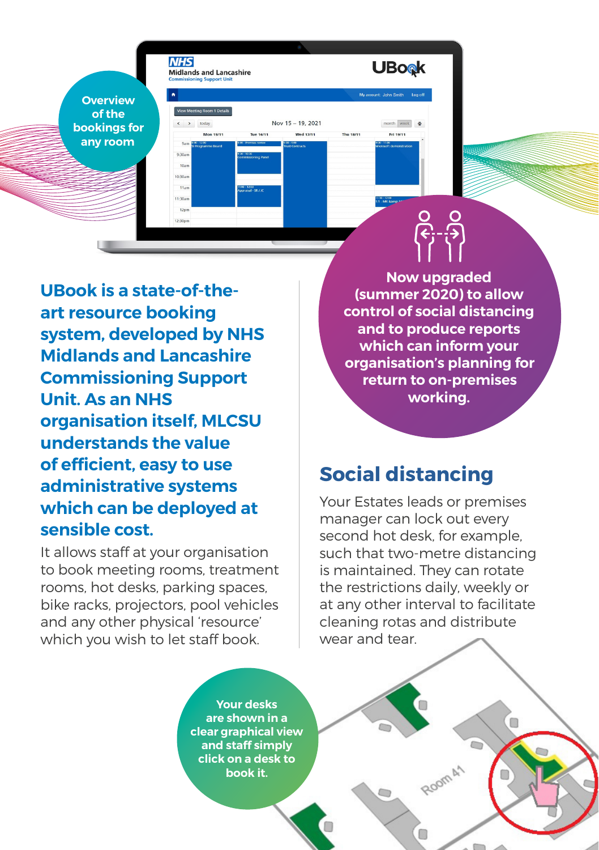**Overview of the bookings for any room**

**NHS** 

**Midlands and Lancashire** 

View Meeting Room 1 Details

Mon 15/11

Nov 15 - 19, 2021

Wed 17/11

Tue 16/11

 $\left\langle \cdot\right\vert \rightarrow\left\vert \cdot\right\vert$ today

**UBook is a state-of-theart resource booking system, developed by NHS Midlands and Lancashire Commissioning Support Unit. As an NHS organisation itself, MLCSU understands the value of efficient, easy to use administrative systems which can be deployed at sensible cost.**

It allows staff at your organisation to book meeting rooms, treatment rooms, hot desks, parking spaces, bike racks, projectors, pool vehicles and any other physical 'resource' which you wish to let staff book.

**Now upgraded (summer 2020) to allow control of social distancing and to produce reports which can inform your organisation's planning for return to on-premises working.**

### **Social distancing**

**UBook** 

month week  $\Phi$ 

Fri 19/11

Thu 18/11

Your Estates leads or premises manager can lock out every second hot desk, for example, such that two-metre distancing is maintained. They can rotate the restrictions daily, weekly or at any other interval to facilitate cleaning rotas and distribute wear and tear.

Room A1

**Your desks are shown in a clear graphical view and staff simply click on a desk to book it.**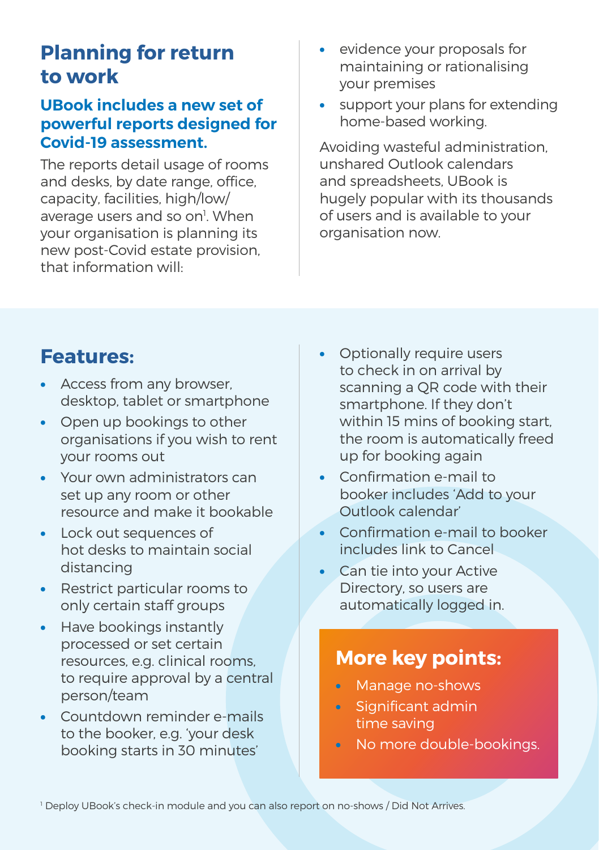### **Planning for return to work**

#### **UBook includes a new set of powerful reports designed for Covid-19 assessment.**

The reports detail usage of rooms and desks, by date range, office, capacity, facilities, high/low/ average users and so on<sup>1</sup>. When your organisation is planning its new post-Covid estate provision, that information will:

- evidence your proposals for maintaining or rationalising your premises
- support your plans for extending home-based working.

Avoiding wasteful administration, unshared Outlook calendars and spreadsheets, UBook is hugely popular with its thousands of users and is available to your organisation now.

#### **Features:**

- Access from any browser, desktop, tablet or smartphone
- Open up bookings to other organisations if you wish to rent your rooms out
- Your own administrators can set up any room or other resource and make it bookable
- Lock out sequences of hot desks to maintain social distancing
- Restrict particular rooms to only certain staff groups
- Have bookings instantly processed or set certain resources, e.g. clinical rooms, to require approval by a central person/team
- Countdown reminder e-mails to the booker, e.g. 'your desk booking starts in 30 minutes'
- Optionally require users to check in on arrival by scanning a QR code with their smartphone. If they don't within 15 mins of booking start, the room is automatically freed up for booking again
- Confirmation e-mail to booker includes 'Add to your Outlook calendar'
- Confirmation e-mail to booker includes link to Cancel
- Can tie into your Active Directory, so users are automatically logged in.

#### **More key points:**

- Manage no-shows
- Significant admin time saving
- No more double-bookings.

1 Deploy UBook's check-in module and you can also report on no-shows / Did Not Arrives.